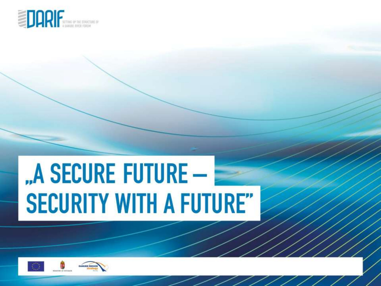

# "A SECURE FUTURE -**SECURITY WITH A FUTURE"**

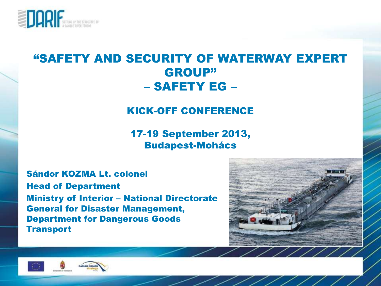

#### "SAFETY AND SECURITY OF WATERWAY EXPERT GROUP" – SAFETY EG –

#### KICK-OFF CONFERENCE

17-19 September 2013, Budapest-Mohács

Sándor KOZMA Lt. colonel Head of Department Ministry of Interior – National Directorate General for Disaster Management, Department for Dangerous Goods **Transport** 





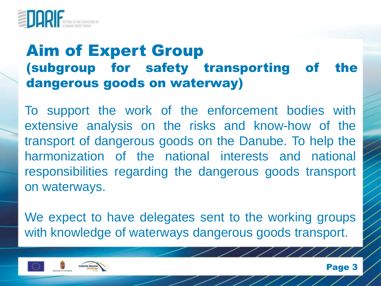

#### Aim of Expert Group (subgroup for safety transporting of the dangerous goods on waterway)

To support the work of the enforcement bodies with extensive analysis on the risks and know-how of the transport of dangerous goods on the Danube. To help the harmonization of the national interests and national responsibilities regarding the dangerous goods transport on waterways.

We expect to have delegates sent to the working groups with knowledge of waterways dangerous goods transport.



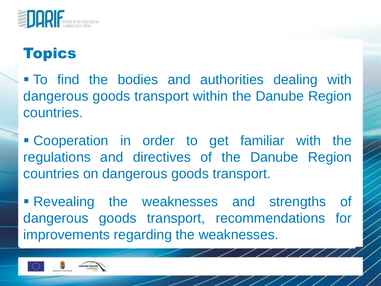

 To find the bodies and authorities dealing with dangerous goods transport within the Danube Region countries.

 Cooperation in order to get familiar with the regulations and directives of the Danube Region countries on dangerous goods transport.

 Revealing the weaknesses and strengths of dangerous goods transport, recommendations for improvements regarding the weaknesses.

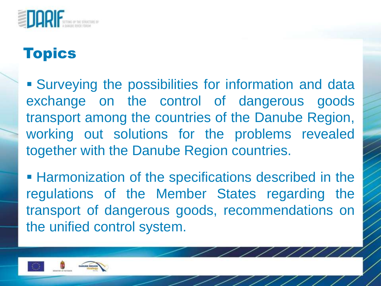

 Surveying the possibilities for information and data exchange on the control of dangerous goods transport among the countries of the Danube Region, working out solutions for the problems revealed together with the Danube Region countries.

**Harmonization of the specifications described in the** regulations of the Member States regarding the transport of dangerous goods, recommendations on the unified control system.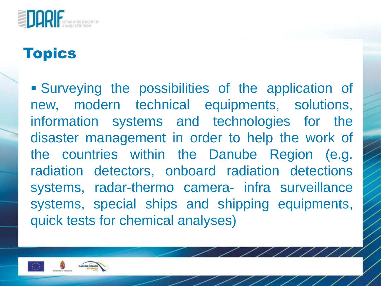

 Surveying the possibilities of the application of new, modern technical equipments, solutions, information systems and technologies for the disaster management in order to help the work of the countries within the Danube Region (e.g. radiation detectors, onboard radiation detections systems, radar-thermo camera- infra surveillance systems, special ships and shipping equipments, quick tests for chemical analyses)

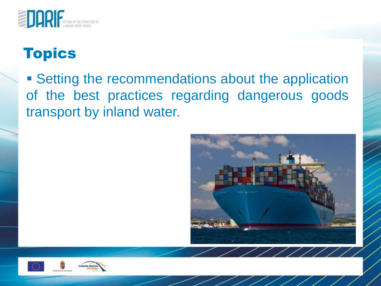

**Setting the recommendations about the application** of the best practices regarding dangerous goods transport by inland water.